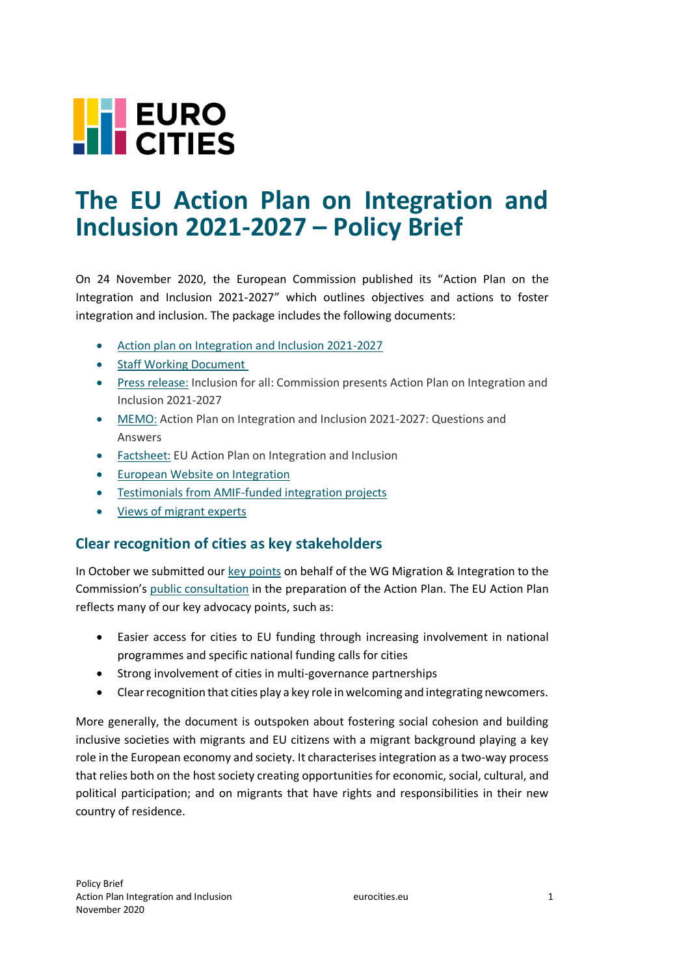

# **The EU Action Plan on Integration and Inclusion 2021-2027 – Policy Brief**

On 24 November 2020, the European Commission published its "Action Plan on the Integration and Inclusion 2021-2027" which outlines objectives and actions to foster integration and inclusion. The package includes the following documents:

- [Action plan on Integration and Inclusion 2021-2027](https://ec.europa.eu/home-affairs/sites/homeaffairs/files/pdf/action_plan_on_integration_and_inclusion_2021-2027.pdf)
- **[Staff Working Document](https://ec.europa.eu/home-affairs/sites/homeaffairs/files/pdf/20201124_swd-2020-758-commission-staff-working-document.pdf)**
- [Press release:](https://ec.europa.eu/commission/presscorner/detail/en/ip_20_2178) Inclusion for all: Commission presents Action Plan on Integration and Inclusion 2021-2027
- [MEMO:](https://ec.europa.eu/commission/presscorner/detail/en/qanda_20_2179) Action Plan on Integration and Inclusion 2021-2027: Questions and Answers
- [Factsheet:](https://ec.europa.eu/home-affairs/sites/homeaffairs/files/what-we-do/policies/european-agenda-migration/20201124_eu-action-plan-on-integration-and-inclusion-2021-2027-factsheet_en.pdf) EU Action Plan on Integration and Inclusion
- [European Website on Integration](https://ec.europa.eu/migrant-integration/home)
- [Testimonials from AMIF-funded integration projects](https://www.youtube.com/playlist?list=PLKdHzVnUVYDzYbT3H72LJmgKIUE0L5qrB)
- [Views of migrant experts](https://twitter.com/EUHomeAffairs/status/1331202267836538881)

# **Clear recognition of cities as key stakeholders**

In October we submitted our [key points](http://wsdomino.eurocities.eu/customers/eurocities/pixportalnew.nsf/OpenSiteMap?OpenAgent&SMAP=documents/Eurocities-Key-points-for-the-Public-Consultation-on-the-integration-and-inclusion-of-migrants-and-people-with-a-migrant-background-WSPO-BUP8M3&login&pixerr=access) on behalf of the WG Migration & Integration to the Commission's [public consultation](https://ec.europa.eu/home-affairs/sites/homeaffairs/files/summary/synthesis_analysis_responses_public_consultation_integration_inclusion_2020.pdf) in the preparation of the Action Plan. The EU Action Plan reflects many of our key advocacy points, such as:

- Easier access for cities to EU funding through increasing involvement in national programmes and specific national funding calls for cities
- Strong involvement of cities in multi-governance partnerships
- Clear recognition that cities play a key role in welcoming and integrating newcomers.

More generally, the document is outspoken about fostering social cohesion and building inclusive societies with migrants and EU citizens with a migrant background playing a key role in the European economy and society. It characterises integration as a two-way process that relies both on the host society creating opportunities for economic, social, cultural, and political participation; and on migrants that have rights and responsibilities in their new country of residence.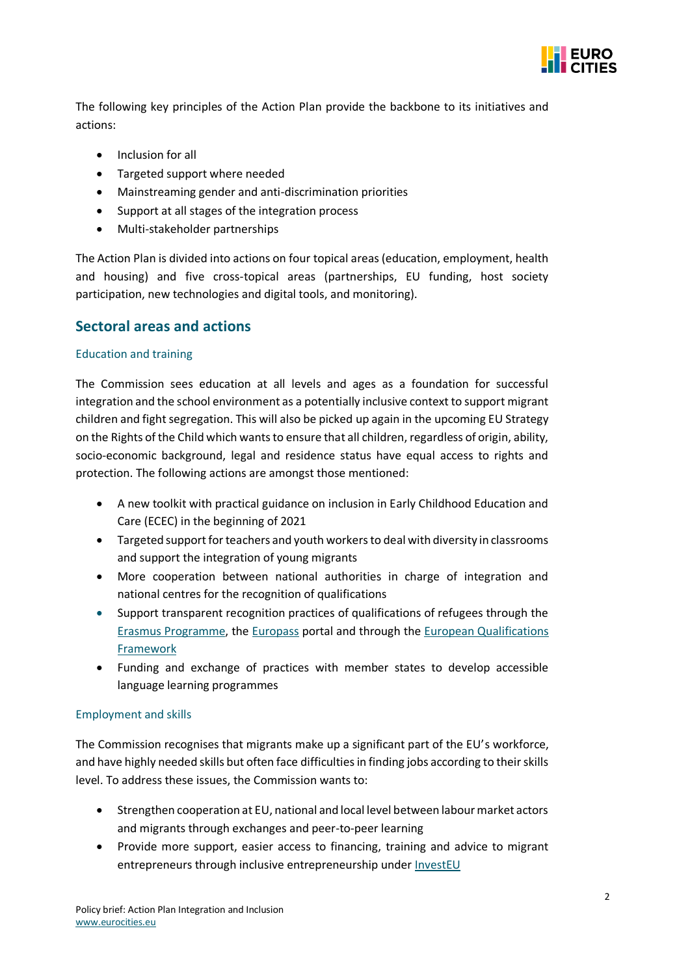

The following key principles of the Action Plan provide the backbone to its initiatives and actions:

- Inclusion for all
- Targeted support where needed
- Mainstreaming gender and anti-discrimination priorities
- Support at all stages of the integration process
- Multi-stakeholder partnerships

The Action Plan is divided into actions on four topical areas (education, employment, health and housing) and five cross-topical areas (partnerships, EU funding, host society participation, new technologies and digital tools, and monitoring).

# **Sectoral areas and actions**

## Education and training

The Commission sees education at all levels and ages as a foundation for successful integration and the school environment as a potentially inclusive context to support migrant children and fight segregation. This will also be picked up again in the upcoming EU Strategy on the Rights of the Child which wants to ensure that all children, regardless of origin, ability, socio-economic background, legal and residence status have equal access to rights and protection. The following actions are amongst those mentioned:

- A new toolkit with practical guidance on inclusion in Early Childhood Education and Care (ECEC) in the beginning of 2021
- Targeted support for teachers and youth workers to deal with diversity in classrooms and support the integration of young migrants
- More cooperation between national authorities in charge of integration and national centres for the recognition of qualifications
- Support transparent recognition practices of qualifications of refugees through the [Erasmus Programme,](https://ec.europa.eu/programmes/erasmus-plus/about_en) the [Europass](https://europa.eu/europass/en) portal and through the [European Qualifications](https://www.cedefop.europa.eu/en/events-and-projects/projects/european-qualifications-framework-eqf)  [Framework](https://www.cedefop.europa.eu/en/events-and-projects/projects/european-qualifications-framework-eqf)
- Funding and exchange of practices with member states to develop accessible language learning programmes

## Employment and skills

The Commission recognises that migrants make up a significant part of the EU's workforce, and have highly needed skills but often face difficulties in finding jobs according to their skills level. To address these issues, the Commission wants to:

- Strengthen cooperation at EU, national and local level between labour market actors and migrants through exchanges and peer-to-peer learning
- Provide more support, easier access to financing, training and advice to migrant entrepreneurs through inclusive entrepreneurship unde[r InvestEU](https://ec.europa.eu/commission/priorities/jobs-growth-and-investment/investment-plan-europe-juncker-plan/whats-next-investeu-programme-2021-2027_en)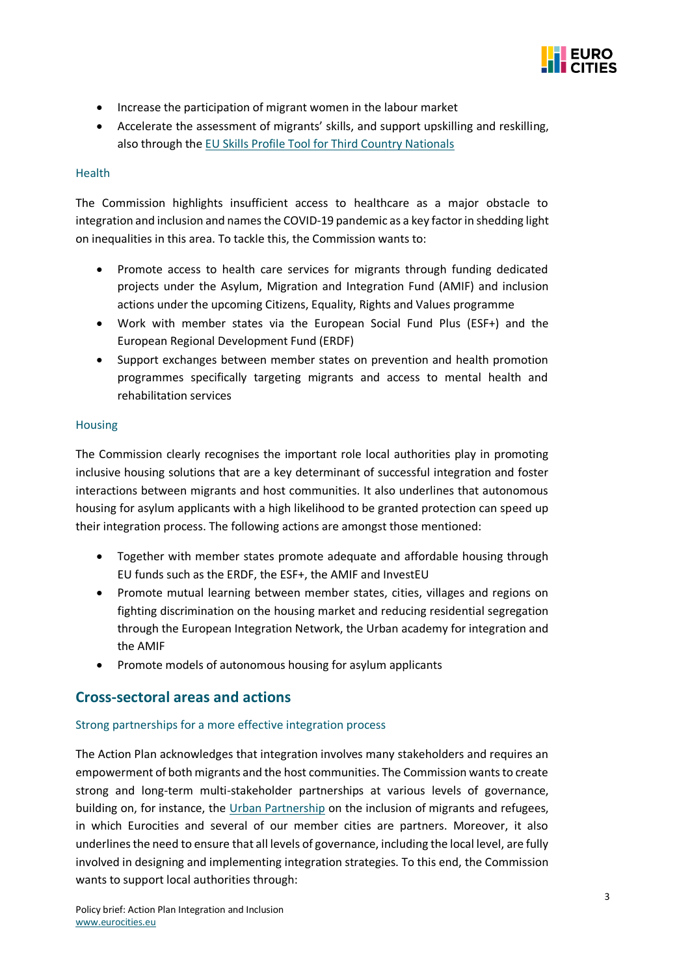

- Increase the participation of migrant women in the labour market
- Accelerate the assessment of migrants' skills, and support upskilling and reskilling, also through the [EU Skills Profile Tool for Third Country Nationals](https://ec.europa.eu/social/main.jsp?catId=1412&langId=en)

#### **Health**

The Commission highlights insufficient access to healthcare as a major obstacle to integration and inclusion and names the COVID-19 pandemic as a key factor in shedding light on inequalities in this area. To tackle this, the Commission wants to:

- Promote access to health care services for migrants through funding dedicated projects under the Asylum, Migration and Integration Fund (AMIF) and inclusion actions under the upcoming Citizens, Equality, Rights and Values programme
- Work with member states via the European Social Fund Plus (ESF+) and the European Regional Development Fund (ERDF)
- Support exchanges between member states on prevention and health promotion programmes specifically targeting migrants and access to mental health and rehabilitation services

## **Housing**

The Commission clearly recognises the important role local authorities play in promoting inclusive housing solutions that are a key determinant of successful integration and foster interactions between migrants and host communities. It also underlines that autonomous housing for asylum applicants with a high likelihood to be granted protection can speed up their integration process. The following actions are amongst those mentioned:

- Together with member states promote adequate and affordable housing through EU funds such as the ERDF, the ESF+, the AMIF and InvestEU
- Promote mutual learning between member states, cities, villages and regions on fighting discrimination on the housing market and reducing residential segregation through the European Integration Network, the Urban academy for integration and the AMIF
- Promote models of autonomous housing for asylum applicants

# **Cross-sectoral areas and actions**

## Strong partnerships for a more effective integration process

The Action Plan acknowledges that integration involves many stakeholders and requires an empowerment of both migrants and the host communities. The Commission wants to create strong and long-term multi-stakeholder partnerships at various levels of governance, building on, for instance, the [Urban Partnership](https://www.inclusionpartnership.com/about-the) on the inclusion of migrants and refugees, in which Eurocities and several of our member cities are partners. Moreover, it also underlines the need to ensure that all levels of governance, including the local level, are fully involved in designing and implementing integration strategies. To this end, the Commission wants to support local authorities through: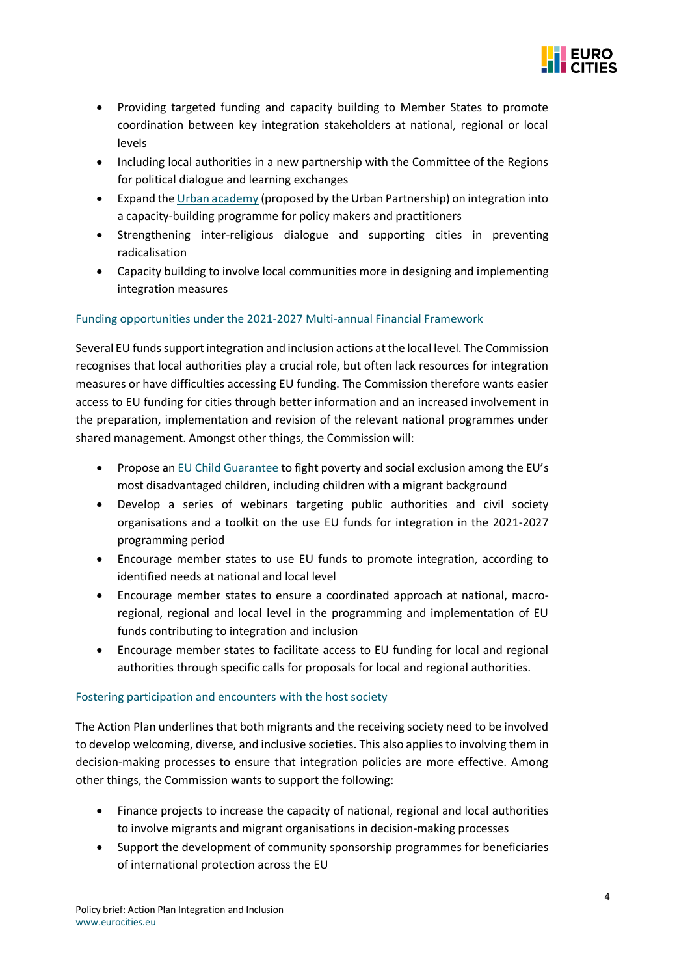

- Providing targeted funding and capacity building to Member States to promote coordination between key integration stakeholders at national, regional or local levels
- Including local authorities in a new partnership with the Committee of the Regions for political dialogue and learning exchanges
- Expand the [Urban academy](https://www.inclusionpartnership.com/urban-academy) (proposed by the Urban Partnership) on integration into a capacity-building programme for policy makers and practitioners
- Strengthening inter-religious dialogue and supporting cities in preventing radicalisation
- Capacity building to involve local communities more in designing and implementing integration measures

## Funding opportunities under the 2021-2027 Multi-annual Financial Framework

Several EU funds support integration and inclusion actions at the local level. The Commission recognises that local authorities play a crucial role, but often lack resources for integration measures or have difficulties accessing EU funding. The Commission therefore wants easier access to EU funding for cities through better information and an increased involvement in the preparation, implementation and revision of the relevant national programmes under shared management. Amongst other things, the Commission will:

- Propose an [EU Child Guarantee](https://ec.europa.eu/social/main.jsp?catId=1428&langId=en) to fight poverty and social exclusion among the EU's most disadvantaged children, including children with a migrant background
- Develop a series of webinars targeting public authorities and civil society organisations and a toolkit on the use EU funds for integration in the 2021-2027 programming period
- Encourage member states to use EU funds to promote integration, according to identified needs at national and local level
- Encourage member states to ensure a coordinated approach at national, macroregional, regional and local level in the programming and implementation of EU funds contributing to integration and inclusion
- Encourage member states to facilitate access to EU funding for local and regional authorities through specific calls for proposals for local and regional authorities.

#### Fostering participation and encounters with the host society

The Action Plan underlines that both migrants and the receiving society need to be involved to develop welcoming, diverse, and inclusive societies. This also applies to involving them in decision-making processes to ensure that integration policies are more effective. Among other things, the Commission wants to support the following:

- Finance projects to increase the capacity of national, regional and local authorities to involve migrants and migrant organisations in decision-making processes
- Support the development of community sponsorship programmes for beneficiaries of international protection across the EU